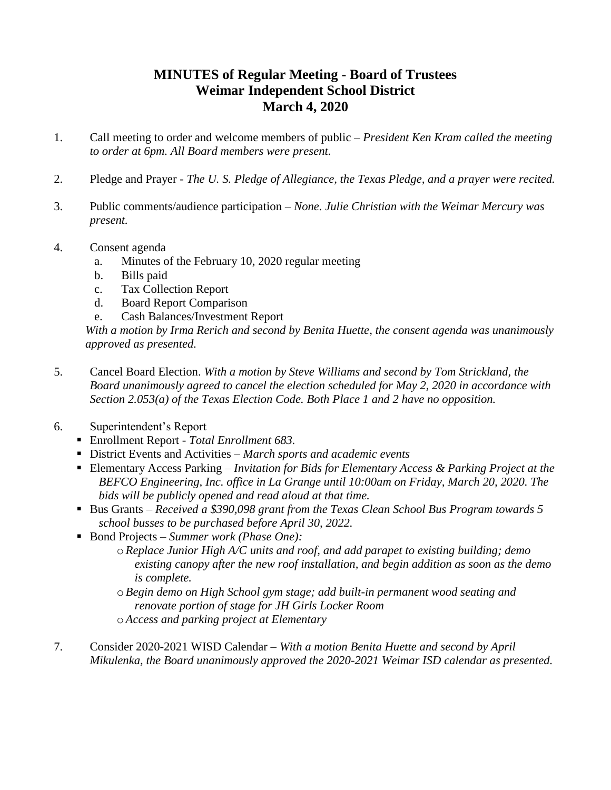## **MINUTES of Regular Meeting - Board of Trustees Weimar Independent School District March 4, 2020**

- 1. Call meeting to order and welcome members of public *President Ken Kram called the meeting to order at 6pm. All Board members were present.*
- 2. Pledge and Prayer *The U. S. Pledge of Allegiance, the Texas Pledge, and a prayer were recited.*
- 3. Public comments/audience participation *None. Julie Christian with the Weimar Mercury was present.*
- 4. Consent agenda
	- a. Minutes of the February 10, 2020 regular meeting
	- b. Bills paid
	- c. Tax Collection Report
	- d. Board Report Comparison
	- e. Cash Balances/Investment Report

*With a motion by Irma Rerich and second by Benita Huette, the consent agenda was unanimously approved as presented.*

- 5. Cancel Board Election. *With a motion by Steve Williams and second by Tom Strickland, the Board unanimously agreed to cancel the election scheduled for May 2, 2020 in accordance with Section 2.053(a) of the Texas Election Code. Both Place 1 and 2 have no opposition.*
- 6. Superintendent's Report
	- Enrollment Report *- Total Enrollment 683.*
	- District Events and Activities *March sports and academic events*
	- Elementary Access Parking *Invitation for Bids for Elementary Access & Parking Project at the BEFCO Engineering, Inc. office in La Grange until 10:00am on Friday, March 20, 2020. The bids will be publicly opened and read aloud at that time.*
	- Bus Grants *Received a \$390,098 grant from the Texas Clean School Bus Program towards 5 school busses to be purchased before April 30, 2022.*
	- Bond Projects *Summer work (Phase One)*:
		- o*Replace Junior High A/C units and roof, and add parapet to existing building; demo existing canopy after the new roof installation, and begin addition as soon as the demo is complete.*
		- o*Begin demo on High School gym stage; add built-in permanent wood seating and renovate portion of stage for JH Girls Locker Room* o*Access and parking project at Elementary*
- 7. Consider 2020-2021 WISD Calendar *– With a motion Benita Huette and second by April Mikulenka, the Board unanimously approved the 2020-2021 Weimar ISD calendar as presented.*